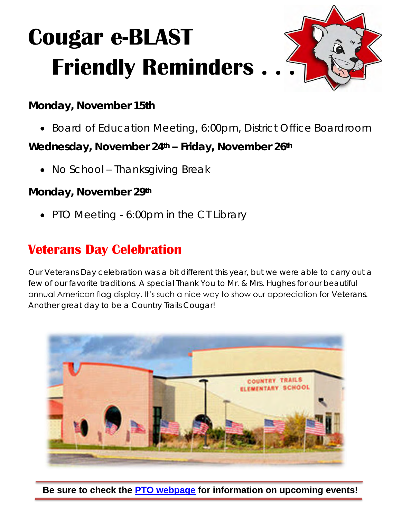## **Cougar e-BLAST Friendly Reminders**

**Monday, November 15th**

• Board of Education Meeting, 6:00pm, District Office Boardroom

**Wednesday, November 24th – Friday, November 26th**

• No School – Thanksgiving Break

**Monday, November 29th**

• PTO Meeting - 6:00pm in the CT Library

## **Veterans Day Celebration**

Our Veterans Day celebration was a bit different this year, but we were able to carry out a few of our favorite traditions. A special Thank You to Mr. & Mrs. Hughes for our beautiful annual American flag display. It's such a nice way to show our appreciation for Veterans. Another great day to be a Country Trails Cougar!



**Be sure to check the [PTO webpage](http://ct.central301.net/ptoptc/) for information on upcoming events!**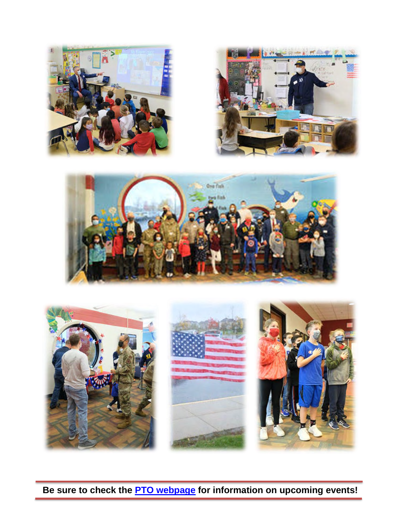







**Be sure to check the [PTO webpage](http://ct.central301.net/ptoptc/) for information on upcoming events!**